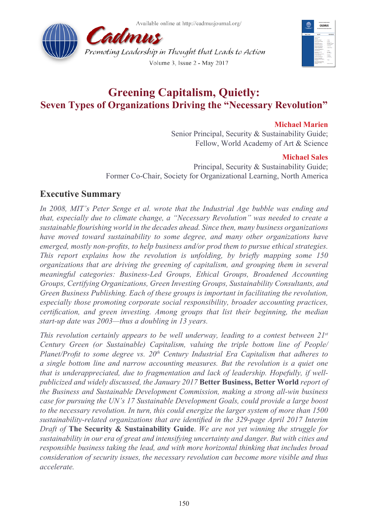Available online at http://cadmusiournal.org/





# **Greening Capitalism, Quietly: Seven Types of Organizations Driving the "Necessary Revolution"**

### **Michael Marien**

Senior Principal, Security & Sustainability Guide; Fellow, World Academy of Art & Science

### **Michael Sales**

 Principal, Security & Sustainability Guide; Former Co-Chair, Society for Organizational Learning, North America

# **Executive Summary**

*In 2008, MIT's Peter Senge et al. wrote that the Industrial Age bubble was ending and that, especially due to climate change, a "Necessary Revolution" was needed to create a sustainable flourishing world in the decades ahead. Since then, many business organizations have moved toward sustainability to some degree, and many other organizations have emerged, mostly non-profits, to help business and/or prod them to pursue ethical strategies. This report explains how the revolution is unfolding, by briefly mapping some 150 organizations that are driving the greening of capitalism, and grouping them in several meaningful categories: Business-Led Groups, Ethical Groups, Broadened Accounting Groups, Certifying Organizations, Green Investing Groups, Sustainability Consultants, and Green Business Publishing. Each of these groups is important in facilitating the revolution, especially those promoting corporate social responsibility, broader accounting practices, certification, and green investing. Among groups that list their beginning, the median start-up date was 2003—thus a doubling in 13 years.*

*This revolution certainly appears to be well underway, leading to a contest between 21st Century Green (or Sustainable) Capitalism, valuing the triple bottom line of People/ Planet/Profit to some degree vs. 20th Century Industrial Era Capitalism that adheres to a single bottom line and narrow accounting measures. But the revolution is a quiet one that is underappreciated, due to fragmentation and lack of leadership. Hopefully, if wellpublicized and widely discussed, the January 2017* **Better Business, Better World** *report of the Business and Sustainable Development Commission, making a strong all-win business case for pursuing the UN's 17 Sustainable Development Goals, could provide a large boost to the necessary revolution. In turn, this could energize the larger system of more than 1500 sustainability-related organizations that are identified in the 329-page April 2017 Interim Draft of* **The Security & Sustainability Guide**. *We are not yet winning the struggle for sustainability in our era of great and intensifying uncertainty and danger. But with cities and responsible business taking the lead, and with more horizontal thinking that includes broad consideration of security issues, the necessary revolution can become more visible and thus accelerate.*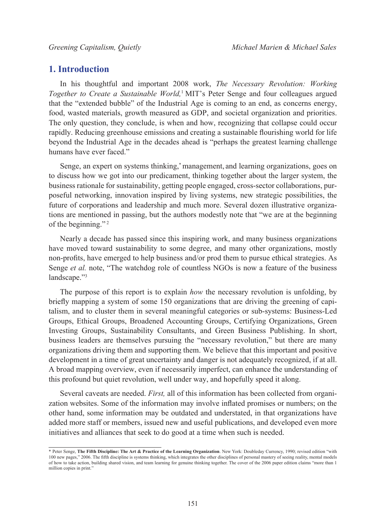## **1. Introduction**

In his thoughtful and important 2008 work, *The Necessary Revolution: Working Together to Create a Sustainable World,*[1](#page-16-0) MIT's Peter Senge and four colleagues argued that the "extended bubble" of the Industrial Age is coming to an end, as concerns energy, food, wasted materials, growth measured as GDP, and societal organization and priorities. The only question, they conclude, is when and how, recognizing that collapse could occur rapidly. Reducing greenhouse emissions and creating a sustainable flourishing world for life beyond the Industrial Age in the decades ahead is "perhaps the greatest learning challenge humans have ever faced."

Senge, an expert on systems thinking,\* management, and learning organizations, goes on to discuss how we got into our predicament, thinking together about the larger system, the business rationale for sustainability, getting people engaged, cross-sector collaborations, purposeful networking, innovation inspired by living systems, new strategic possibilities, the future of corporations and leadership and much more. Several dozen illustrative organizations are mentioned in passing, but the authors modestly note that "we are at the beginning of the beginning."<sup>2</sup>

Nearly a decade has passed since this inspiring work, and many business organizations have moved toward sustainability to some degree, and many other organizations, mostly non-profits, have emerged to help business and/or prod them to pursue ethical strategies. As Senge *et al.* note, "The watchdog role of countless NGOs is now a feature of the business landscape."<sup>3</sup>

The purpose of this report is to explain *how* the necessary revolution is unfolding, by briefly mapping a system of some 150 organizations that are driving the greening of capitalism, and to cluster them in several meaningful categories or sub-systems: Business-Led Groups, Ethical Groups, Broadened Accounting Groups, Certifying Organizations, Green Investing Groups, Sustainability Consultants, and Green Business Publishing. In short, business leaders are themselves pursuing the "necessary revolution," but there are many organizations driving them and supporting them. We believe that this important and positive development in a time of great uncertainty and danger is not adequately recognized, if at all. A broad mapping overview, even if necessarily imperfect, can enhance the understanding of this profound but quiet revolution, well under way, and hopefully speed it along.

Several caveats are needed. *First,* all of this information has been collected from organization websites. Some of the information may involve inflated promises or numbers; on the other hand, some information may be outdated and understated, in that organizations have added more staff or members, issued new and useful publications, and developed even more initiatives and alliances that seek to do good at a time when such is needed.

<sup>\*</sup> Peter Senge, **The Fifth Discipline: The Art & Practice of the Learning Organization**. New York: Doubleday Currency, 1990; revised edition "with 100 new pages," 2006. The fifth discipline is systems thinking, which integrates the other disciplines of personal mastery of seeing reality, mental models of how to take action, building shared vision, and team learning for genuine thinking together. The cover of the 2006 paper edition claims "more than 1 million copies in print."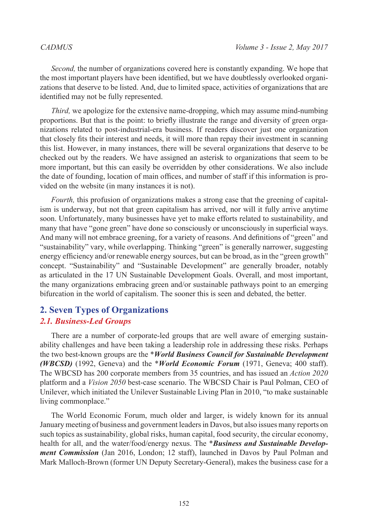*Second,* the number of organizations covered here is constantly expanding. We hope that the most important players have been identified, but we have doubtlessly overlooked organizations that deserve to be listed. And, due to limited space, activities of organizations that are identified may not be fully represented.

*Third,* we apologize for the extensive name-dropping, which may assume mind-numbing proportions. But that is the point: to briefly illustrate the range and diversity of green organizations related to post-industrial-era business. If readers discover just one organization that closely fits their interest and needs, it will more than repay their investment in scanning this list. However, in many instances, there will be several organizations that deserve to be checked out by the readers. We have assigned an asterisk to organizations that seem to be more important, but this can easily be overridden by other considerations. We also include the date of founding, location of main offices, and number of staff if this information is provided on the website (in many instances it is not).

*Fourth*, this profusion of organizations makes a strong case that the greening of capitalism is underway, but not that green capitalism has arrived, nor will it fully arrive anytime soon. Unfortunately, many businesses have yet to make efforts related to sustainability, and many that have "gone green" have done so consciously or unconsciously in superficial ways. And many will not embrace greening, for a variety of reasons. And definitions of "green" and "sustainability" vary, while overlapping. Thinking "green" is generally narrower, suggesting energy efficiency and/or renewable energy sources, but can be broad, as in the "green growth" concept. "Sustainability" and "Sustainable Development" are generally broader, notably as articulated in the 17 UN Sustainable Development Goals. Overall, and most important, the many organizations embracing green and/or sustainable pathways point to an emerging bifurcation in the world of capitalism. The sooner this is seen and debated, the better.

# **2. Seven Types of Organizations**

### *2.1. Business-Led Groups*

There are a number of corporate-led groups that are well aware of emerging sustainability challenges and have been taking a leadership role in addressing these risks. Perhaps the two best-known groups are the \**World Business Council for Sustainable Development (WBCSD)* (1992, Geneva) and the \**World Economic Forum* (1971, Geneva; 400 staff). The WBCSD has 200 corporate members from 35 countries, and has issued an *Action 2020*  platform and a *Vision 2050* best-case scenario. The WBCSD Chair is Paul Polman, CEO of Unilever, which initiated the Unilever Sustainable Living Plan in 2010, "to make sustainable living commonplace."

The World Economic Forum, much older and larger, is widely known for its annual January meeting of business and government leaders in Davos, but also issues many reports on such topics as sustainability, global risks, human capital, food security, the circular economy, health for all, and the water/food/energy nexus. The \**Business and Sustainable Development Commission* (Jan 2016, London; 12 staff), launched in Davos by Paul Polman and Mark Malloch-Brown (former UN Deputy Secretary-General), makes the business case for a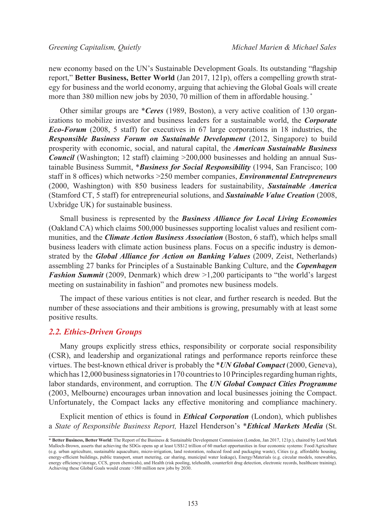new economy based on the UN's Sustainable Development Goals. Its outstanding "flagship report," **Better Business, Better World** (Jan 2017, 121p), offers a compelling growth strategy for business and the world economy, arguing that achieving the Global Goals will create more than 380 million new jobs by 2030, 70 million of them in affordable housing. \*

Other similar groups are \**Ceres* (1989, Boston), a very active coalition of 130 organizations to mobilize investor and business leaders for a sustainable world, the *Corporate Eco-Forum* (2008, 5 staff) for executives in 67 large corporations in 18 industries, the *Responsible Business Forum on Sustainable Development* (2012, Singapore) to build prosperity with economic, social, and natural capital, the *American Sustainable Business Council* (Washington; 12 staff) claiming  $>200,000$  businesses and holding an annual Sustainable Business Summit, \**Business for Social Responsibility* (1994, San Francisco; 100 staff in 8 offices) which networks >250 member companies, *Environmental Entrepreneurs*  (2000, Washington) with 850 business leaders for sustainability, *Sustainable America*  (Stamford CT, 5 staff) for entrepreneurial solutions, and *Sustainable Value Creation* (2008, Uxbridge UK) for sustainable business.

Small business is represented by the *Business Alliance for Local Living Economies*  (Oakland CA) which claims 500,000 businesses supporting localist values and resilient communities, and the *Climate Action Business Association* (Boston, 6 staff), which helps small business leaders with climate action business plans. Focus on a specific industry is demonstrated by the *Global Alliance for Action on Banking Values* (2009, Zeist, Netherlands) assembling 27 banks for Principles of a Sustainable Banking Culture, and the *Copenhagen Fashion Summit* (2009, Denmark) which drew  $>1,200$  participants to "the world's largest meeting on sustainability in fashion" and promotes new business models.

The impact of these various entities is not clear, and further research is needed. But the number of these associations and their ambitions is growing, presumably with at least some positive results.

### *2.2. Ethics-Driven Groups*

Many groups explicitly stress ethics, responsibility or corporate social responsibility (CSR), and leadership and organizational ratings and performance reports reinforce these virtues. The best-known ethical driver is probably the \**UN Global Compact* (2000, Geneva), which has 12,000 business signatories in 170 countries to 10 Principles regarding human rights, labor standards, environment, and corruption. The *UN Global Compact Cities Programme*  (2003, Melbourne) encourages urban innovation and local businesses joining the Compact. Unfortunately, the Compact lacks any effective monitoring and compliance machinery.

Explicit mention of ethics is found in *Ethical Corporation* (London), which publishes a *State of Responsible Business Report,* Hazel Henderson's \**Ethical Markets Media* (St.

<sup>\*</sup> **Better Business, Better World**: The Report of the Business & Sustainable Development Commission (London, Jan 2017, 121p.), chaired by Lord Mark Malloch-Brown, asserts that achieving the SDGs opens up at least US\$12 trillion of 60 market opportunities in four economic systems: Food/Agriculture (e.g. urban agriculture, sustainable aquaculture, micro-irrigation, land restoration, reduced food and packaging waste), Cities (e.g. affordable housing, energy-efficient buildings, public transport, smart metering, car sharing, municipal water leakage), Energy/Materials (e.g. circular models, renewables, energy efficiency/storage, CCS, green chemicals), and Health (risk pooling, telehealth, counterfeit drug detection, electronic records, healthcare training). Achieving these Global Goals would create >380 million new jobs by 2030.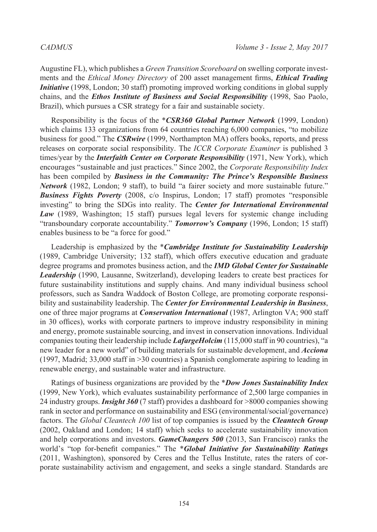Augustine FL), which publishes a *Green Transition Scoreboard* on swelling corporate investments and the *Ethical Money Directory* of 200 asset management firms, *Ethical Trading Initiative* (1998, London; 30 staff) promoting improved working conditions in global supply chains, and the *Ethos Institute of Business and Social Responsibility* (1998, Sao Paolo, Brazil), which pursues a CSR strategy for a fair and sustainable society.

Responsibility is the focus of the \**CSR360 Global Partner Network* (1999, London) which claims 133 organizations from 64 countries reaching 6,000 companies, "to mobilize business for good." The *CSRwire* (1999, Northampton MA) offers books, reports, and press releases on corporate social responsibility. The *ICCR Corporate Examiner* is published 3 times/year by the *Interfaith Center on Corporate Responsibility* (1971, New York), which encourages "sustainable and just practices." Since 2002, the *Corporate Responsibility Index*  has been compiled by *Business in the Community: The Prince's Responsible Business Network* (1982, London; 9 staff), to build "a fairer society and more sustainable future." *Business Fights Poverty* (2008, c/o Inspirus, London; 17 staff) promotes "responsible investing" to bring the SDGs into reality. The *Center for International Environmental Law* (1989, Washington; 15 staff) pursues legal levers for systemic change including "transboundary corporate accountability." *Tomorrow's Company* (1996, London; 15 staff) enables business to be "a force for good."

Leadership is emphasized by the \**Cambridge Institute for Sustainability Leadership*  (1989, Cambridge University; 132 staff), which offers executive education and graduate degree programs and promotes business action, and the *IMD Global Center for Sustainable Leadership* (1990, Lausanne, Switzerland), developing leaders to create best practices for future sustainability institutions and supply chains. And many individual business school professors, such as Sandra Waddock of Boston College, are promoting corporate responsibility and sustainability leadership. The *Center for Environmental Leadership in Business*, one of three major programs at *Conservation International* (1987, Arlington VA; 900 staff in 30 offices), works with corporate partners to improve industry responsibility in mining and energy, promote sustainable sourcing, and invest in conservation innovations. Individual companies touting their leadership include *LafargeHolcim* (115,000 staff in 90 countries), "a new leader for a new world" of building materials for sustainable development, and *Acciona*  (1997, Madrid; 33,000 staff in >30 countries) a Spanish conglomerate aspiring to leading in renewable energy, and sustainable water and infrastructure.

Ratings of business organizations are provided by the \**Dow Jones Sustainability Index*  (1999, New York), which evaluates sustainability performance of 2,500 large companies in 24 industry groups. *Insight 360* (7 staff) provides a dashboard for >8000 companies showing rank in sector and performance on sustainability and ESG (environmental/social/governance) factors. The *Global Cleantech 100* list of top companies is issued by the *Cleantech Group*  (2002, Oakland and London; 14 staff) which seeks to accelerate sustainability innovation and help corporations and investors. *GameChangers 500* (2013, San Francisco) ranks the world's "top for-benefit companies." The \**Global Initiative for Sustainability Ratings*  (2011, Washington), sponsored by Ceres and the Tellus Institute, rates the raters of corporate sustainability activism and engagement, and seeks a single standard. Standards are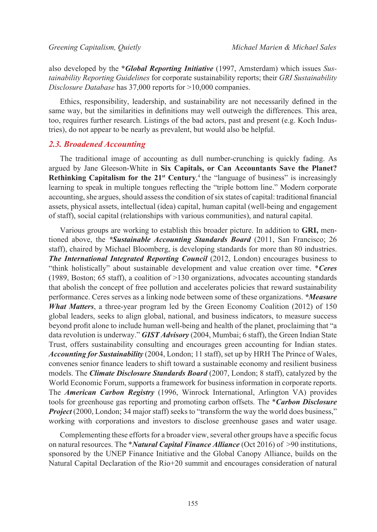also developed by the \**Global Reporting Initiative* (1997, Amsterdam) which issues *Sustainability Reporting Guidelines* for corporate sustainability reports; their *GRI Sustainability Disclosure Database* has 37,000 reports for >10,000 companies.

Ethics, responsibility, leadership, and sustainability are not necessarily defined in the same way, but the similarities in definitions may well outweigh the differences. This area, too, requires further research. Listings of the bad actors, past and present (e.g. Koch Industries), do not appear to be nearly as prevalent, but would also be helpful.

### *2.3. Broadened Accounting*

The traditional image of accounting as dull number-crunching is quickly fading. As argued by Jane Gleeson-White in **Six Capitals, or Can Accountants Save the Planet? Rethinking Capitalism for the 21<sup>st</sup> Century**,<sup>4</sup> the "language of business" is increasingly learning to speak in multiple tongues reflecting the "triple bottom line." Modern corporate accounting, she argues, should assess the condition of six states of capital: traditional financial assets, physical assets, intellectual (idea) capital, human capital (well-being and engagement of staff), social capital (relationships with various communities), and natural capital.

Various groups are working to establish this broader picture. In addition to **GRI,** mentioned above, the *\*Sustainable Accounting Standards Board* (2011, San Francisco; 26 staff), chaired by Michael Bloomberg, is developing standards for more than 80 industries. *The International Integrated Reporting Council* (2012, London) encourages business to "think holistically" about sustainable development and value creation over time. \**Ceres*  (1989, Boston; 65 staff), a coalition of  $>130$  organizations, advocates accounting standards that abolish the concept of free pollution and accelerates policies that reward sustainability performance. Ceres serves as a linking node between some of these organizations. *\*Measure What Matters*, a three-year program led by the Green Economy Coalition (2012) of 150 global leaders, seeks to align global, national, and business indicators, to measure success beyond profit alone to include human well-being and health of the planet, proclaiming that "a data revolution is underway." *GIST Advisory* (2004, Mumbai; 6 staff), the Green Indian State Trust, offers sustainability consulting and encourages green accounting for Indian states. *Accounting for Sustainability* (2004, London; 11 staff), set up by HRH The Prince of Wales, convenes senior finance leaders to shift toward a sustainable economy and resilient business models. The *Climate Disclosure Standards Board* (2007, London; 8 staff), catalyzed by the World Economic Forum, supports a framework for business information in corporate reports. The *American Carbon Registry* (1996, Winrock International, Arlington VA) provides tools for greenhouse gas reporting and promoting carbon offsets. The \**Carbon Disclosure Project* (2000, London; 34 major staff) seeks to "transform the way the world does business," working with corporations and investors to disclose greenhouse gases and water usage.

Complementing these efforts for a broader view, several other groups have a specific focus on natural resources. The \**Natural Capital Finance Alliance* (Oct 2016) of >90 institutions, sponsored by the UNEP Finance Initiative and the Global Canopy Alliance, builds on the Natural Capital Declaration of the Rio+20 summit and encourages consideration of natural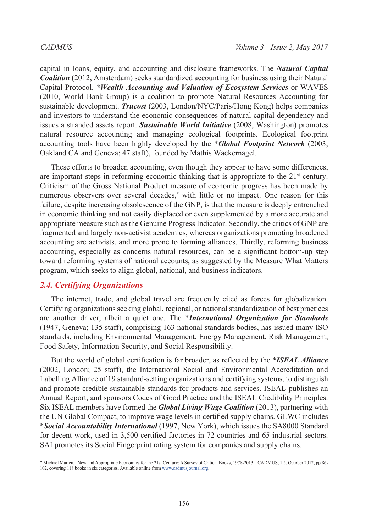capital in loans, equity, and accounting and disclosure frameworks. The *Natural Capital Coalition* (2012, Amsterdam) seeks standardized accounting for business using their Natural Capital Protocol. *\*Wealth Accounting and Valuation of Ecosystem Services* or WAVES (2010, World Bank Group) is a coalition to promote Natural Resources Accounting for sustainable development. *Trucost* (2003, London/NYC/Paris/Hong Kong) helps companies and investors to understand the economic consequences of natural capital dependency and issues a stranded assets report. *Sustainable World Initiative* (2008, Washington) promotes natural resource accounting and managing ecological footprints. Ecological footprint accounting tools have been highly developed by the \**Global Footprint Network* (2003, Oakland CA and Geneva; 47 staff), founded by Mathis Wackernagel.

These efforts to broaden accounting, even though they appear to have some differences, are important steps in reforming economic thinking that is appropriate to the  $21<sup>st</sup>$  century. Criticism of the Gross National Product measure of economic progress has been made by numerous observers over several decades,<sup>\*</sup> with little or no impact. One reason for this failure, despite increasing obsolescence of the GNP, is that the measure is deeply entrenched in economic thinking and not easily displaced or even supplemented by a more accurate and appropriate measure such as the Genuine Progress Indicator. Secondly, the critics of GNP are fragmented and largely non-activist academics, whereas organizations promoting broadened accounting are activists, and more prone to forming alliances. Thirdly, reforming business accounting, especially as concerns natural resources, can be a significant bottom-up step toward reforming systems of national accounts, as suggested by the Measure What Matters program, which seeks to align global, national, and business indicators.

### *2.4. Certifying Organizations*

The internet, trade, and global travel are frequently cited as forces for globalization. Certifying organizations seeking global, regional, or national standardization of best practices are another driver, albeit a quiet one. The \**International Organization for Standards*  (1947, Geneva; 135 staff), comprising 163 national standards bodies, has issued many ISO standards, including Environmental Management, Energy Management, Risk Management, Food Safety, Information Security, and Social Responsibility.

But the world of global certification is far broader, as reflected by the \**ISEAL Alliance*  (2002, London; 25 staff), the International Social and Environmental Accreditation and Labelling Alliance of 19 standard-setting organizations and certifying systems, to distinguish and promote credible sustainable standards for products and services. ISEAL publishes an Annual Report, and sponsors Codes of Good Practice and the ISEAL Credibility Principles. Six ISEAL members have formed the *Global Living Wage Coalition* (2013), partnering with the UN Global Compact, to improve wage levels in certified supply chains. GLWC includes \**Social Accountability International* (1997, New York), which issues the SA8000 Standard for decent work, used in 3,500 certified factories in 72 countries and 65 industrial sectors. SAI promotes its Social Fingerprint rating system for companies and supply chains.

<sup>\*</sup> Michael Marien, "New and Appropriate Economics for the 21st Century: A Survey of Critical Books, 1978-2013," CADMUS, 1:5, October 2012, pp.86- 102, covering 118 books in six categories. Available online from www.cadmusjournal.org.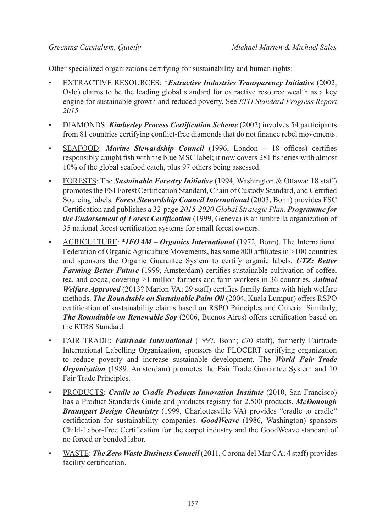Other specialized organizations certifying for sustainability and human rights:

- EXTRACTIVE RESOURCES: \**Extractive Industries Transparency Initiative* (2002, Oslo) claims to be the leading global standard for extractive resource wealth as a key engine for sustainable growth and reduced poverty. See *EITI Standard Progress Report 2015.*
- DIAMONDS: *Kimberley Process Certification Scheme* (2002) involves 54 participants from 81 countries certifying conflict-free diamonds that do not finance rebel movements.
- SEAFOOD: *Marine Stewardship Council* (1996, London + 18 offices) certifies responsibly caught fish with the blue MSC label; it now covers 281 fisheries with almost 10% of the global seafood catch, plus 97 others being assessed.
- FORESTS: The *Sustainable Forestry Initiative* (1994, Washington & Ottawa; 18 staff) promotes the FSI Forest Certification Standard, Chain of Custody Standard, and Certified Sourcing labels. *Forest Stewardship Council International* (2003, Bonn) provides FSC Certification and publishes a 32-page *2015-2020 Global Strategic Plan. Programme for the Endorsement of Forest Certification* (1999, Geneva) is an umbrella organization of 35 national forest certification systems for small forest owners.
- AGRICULTURE: \**IFOAM Organics International* (1972, Bonn), The International Federation of Organic Agriculture Movements, has some 800 affiliates in >100 countries and sponsors the Organic Guarantee System to certify organic labels. *UTZ: Better Farming Better Future* (1999, Amsterdam) certifies sustainable cultivation of coffee, tea, and cocoa, covering >1 million farmers and farm workers in 36 countries. *Animal Welfare Approved* (2013? Marion VA; 29 staff) certifies family farms with high welfare methods. *The Roundtable on Sustainable Palm Oil* (2004, Kuala Lumpur) offers RSPO certification of sustainability claims based on RSPO Principles and Criteria. Similarly, *The Roundtable on Renewable Soy* (2006, Buenos Aires) offers certification based on the RTRS Standard.
- FAIR TRADE: *Fairtrade International* (1997, Bonn; c70 staff), formerly Fairtrade International Labelling Organization, sponsors the FLOCERT certifying organization to reduce poverty and increase sustainable development. The *World Fair Trade Organization* (1989, Amsterdam) promotes the Fair Trade Guarantee System and 10 Fair Trade Principles.
- PRODUCTS: *Cradle to Cradle Products Innovation Institute* (2010, San Francisco) has a Product Standards Guide and products registry for 2,500 products. *McDonough Braungart Design Chemistry* (1999, Charlottesville VA) provides "cradle to cradle" certification for sustainability companies. *GoodWeave* (1986, Washington) sponsors Child-Labor-Free Certification for the carpet industry and the GoodWeave standard of no forced or bonded labor.
- WASTE: *The Zero Waste Business Council* (2011, Corona del Mar CA; 4 staff) provides facility certification.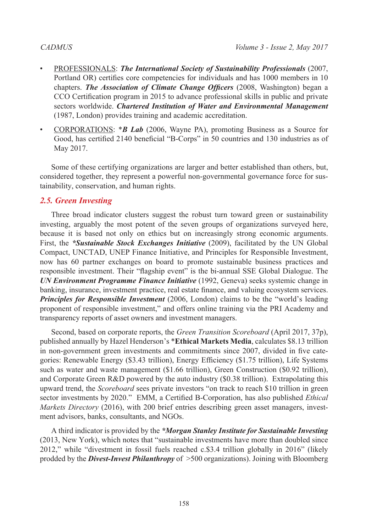- PROFESSIONALS: *The International Society of Sustainability Professionals* (2007, Portland OR) certifies core competencies for individuals and has 1000 members in 10 chapters. *The Association of Climate Change Officers* (2008, Washington) began a CCO Certification program in 2015 to advance professional skills in public and private sectors worldwide. *Chartered Institution of Water and Environmental Management*  (1987, London) provides training and academic accreditation.
- CORPORATIONS: \**B Lab* (2006, Wayne PA), promoting Business as a Source for Good, has certified 2140 beneficial "B-Corps" in 50 countries and 130 industries as of May 2017.

Some of these certifying organizations are larger and better established than others, but, considered together, they represent a powerful non-governmental governance force for sustainability, conservation, and human rights.

## *2.5. Green Investing*

Three broad indicator clusters suggest the robust turn toward green or sustainability investing, arguably the most potent of the seven groups of organizations surveyed here, because it is based not only on ethics but on increasingly strong economic arguments. First, the *\*Sustainable Stock Exchanges Initiative* (2009), facilitated by the UN Global Compact, UNCTAD, UNEP Finance Initiative, and Principles for Responsible Investment, now has 60 partner exchanges on board to promote sustainable business practices and responsible investment. Their "flagship event" is the bi-annual SSE Global Dialogue. The *UN Environment Programme Finance Initiative* (1992, Geneva) seeks systemic change in banking, insurance, investment practice, real estate finance, and valuing ecosystem services. *Principles for Responsible Investment* (2006, London) claims to be the "world's leading proponent of responsible investment," and offers online training via the PRI Academy and transparency reports of asset owners and investment managers.

Second, based on corporate reports, the *Green Transition Scoreboard* (April 2017, 37p), published annually by Hazel Henderson's \***Ethical Markets Media**, calculates \$8.13 trillion in non-government green investments and commitments since 2007, divided in five categories: Renewable Energy (\$3.43 trillion), Energy Efficiency (\$1.75 trillion), Life Systems such as water and waste management (\$1.66 trillion), Green Construction (\$0.92 trillion), and Corporate Green R&D powered by the auto industry (\$0.38 trillion). Extrapolating this upward trend, the *Scoreboard* sees private investors "on track to reach \$10 trillion in green sector investments by 2020." EMM, a Certified B-Corporation, has also published *Ethical Markets Directory* (2016), with 200 brief entries describing green asset managers, investment advisors, banks, consultants, and NGOs.

A third indicator is provided by the *\*Morgan Stanley Institute for Sustainable Investing*  (2013, New York), which notes that "sustainable investments have more than doubled since 2012," while "divestment in fossil fuels reached c.\$3.4 trillion globally in 2016" (likely prodded by the *Divest-Invest Philanthropy* of >500 organizations). Joining with Bloomberg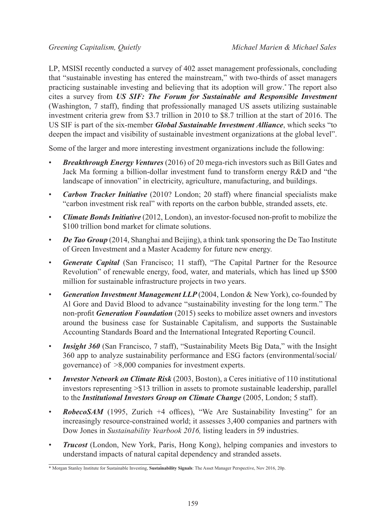LP, MSISI recently conducted a survey of 402 asset management professionals, concluding that "sustainable investing has entered the mainstream," with two-thirds of asset managers practicing sustainable investing and believing that its adoption will grow.\* The report also cites a survey from *US SIF: The Forum for Sustainable and Responsible Investment*  (Washington, 7 staff), finding that professionally managed US assets utilizing sustainable investment criteria grew from \$3.7 trillion in 2010 to \$8.7 trillion at the start of 2016. The US SIF is part of the six-member *Global Sustainable Investment Alliance*, which seeks "to deepen the impact and visibility of sustainable investment organizations at the global level".

Some of the larger and more interesting investment organizations include the following:

- *Breakthrough Energy Ventures* (2016) of 20 mega-rich investors such as Bill Gates and Jack Ma forming a billion-dollar investment fund to transform energy R&D and "the landscape of innovation" in electricity, agriculture, manufacturing, and buildings.
- *Carbon Tracker Initiative* (2010? London; 20 staff) where financial specialists make "carbon investment risk real" with reports on the carbon bubble, stranded assets, etc.
- *Climate Bonds Initiative* (2012, London), an investor-focused non-profit to mobilize the \$100 trillion bond market for climate solutions.
- *De Tao Group* (2014, Shanghai and Beijing), a think tank sponsoring the De Tao Institute of Green Investment and a Master Academy for future new energy.
- *Generate Capital* (San Francisco; 11 staff), "The Capital Partner for the Resource Revolution" of renewable energy, food, water, and materials, which has lined up \$500 million for sustainable infrastructure projects in two years.
- *Generation Investment Management LLP* (2004, London & New York), co-founded by Al Gore and David Blood to advance "sustainability investing for the long term." The non-profit *Generation Foundation* (2015) seeks to mobilize asset owners and investors around the business case for Sustainable Capitalism, and supports the Sustainable Accounting Standards Board and the International Integrated Reporting Council.
- *Insight 360* (San Francisco, 7 staff), "Sustainability Meets Big Data," with the Insight 360 app to analyze sustainability performance and ESG factors (environmental/social/ governance) of >8,000 companies for investment experts.
- *Investor Network on Climate Risk* (2003, Boston), a Ceres initiative of 110 institutional investors representing >\$13 trillion in assets to promote sustainable leadership, parallel to the *Institutional Investors Group on Climate Change* (2005, London; 5 staff).
- *RobecoSAM* (1995, Zurich +4 offices), "We Are Sustainability Investing" for an increasingly resource-constrained world; it assesses 3,400 companies and partners with Dow Jones in *Sustainability Yearbook 2016,* listing leaders in 59 industries.
- *Trucost* (London, New York, Paris, Hong Kong), helping companies and investors to understand impacts of natural capital dependency and stranded assets.

<sup>\*</sup> Morgan Stanley Institute for Sustainable Investing, **Sustainability Signals**: The Asset Manager Perspective, Nov 2016, 20p.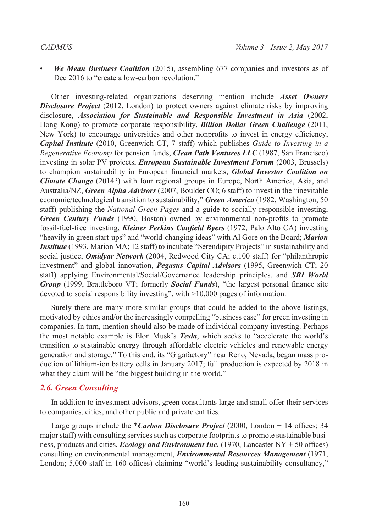• *We Mean Business Coalition* (2015), assembling 677 companies and investors as of Dec 2016 to "create a low-carbon revolution."

Other investing-related organizations deserving mention include *Asset Owners Disclosure Project* (2012, London) to protect owners against climate risks by improving disclosure, *Association for Sustainable and Responsible Investment in Asia* (2002, Hong Kong) to promote corporate responsibility, *Billion Dollar Green Challenge* (2011, New York) to encourage universities and other nonprofits to invest in energy efficiency, *Capital Institute* (2010, Greenwich CT, 7 staff) which publishes *Guide to Investing in a Regenerative Economy* for pension funds, *Clean Path Ventures LLC* (1987, San Francisco) investing in solar PV projects, *European Sustainable Investment Forum* (2003, Brussels) to champion sustainability in European financial markets, *Global Investor Coalition on Climate Change* (2014?) with four regional groups in Europe, North America, Asia, and Australia/NZ, *Green Alpha Advisors* (2007, Boulder CO; 6 staff) to invest in the "inevitable economic/technological transition to sustainability," *Green America* (1982, Washington; 50 staff) publishing the *National Green Pages* and a guide to socially responsible investing, *Green Century Funds* (1990, Boston) owned by environmental non-profits to promote fossil-fuel-free investing, *Kleiner Perkins Caufield Byers* (1972, Palo Alto CA) investing "heavily in green start-ups" and "world-changing ideas" with Al Gore on the Board; *Marion Institute* (1993, Marion MA; 12 staff) to incubate "Serendipity Projects" in sustainability and social justice, *Omidyar Network* (2004, Redwood City CA; c.100 staff) for "philanthropic investment" and global innovation, *Pegasus Capital Advisors* (1995, Greenwich CT; 20 staff) applying Environmental/Social/Governance leadership principles, and *SRI World Group* (1999, Brattleboro VT; formerly *Social Funds*), "the largest personal finance site devoted to social responsibility investing", with >10,000 pages of information.

Surely there are many more similar groups that could be added to the above listings, motivated by ethics and/or the increasingly compelling "business case" for green investing in companies. In turn, mention should also be made of individual company investing. Perhaps the most notable example is Elon Musk's *Tesla*, which seeks to "accelerate the world's transition to sustainable energy through affordable electric vehicles and renewable energy generation and storage." To this end, its "Gigafactory" near Reno, Nevada, began mass production of lithium-ion battery cells in January 2017; full production is expected by 2018 in what they claim will be "the biggest building in the world."

### *2.6. Green Consulting*

In addition to investment advisors, green consultants large and small offer their services to companies, cities, and other public and private entities.

Large groups include the *\*Carbon Disclosure Project* (2000, London + 14 offices; 34 major staff) with consulting services such as corporate footprints to promote sustainable business, products and cities, *Ecology and Environment Inc.* (1970, Lancaster NY + 50 offices) consulting on environmental management, *Environmental Resources Management* (1971, London; 5,000 staff in 160 offices) claiming "world's leading sustainability consultancy,"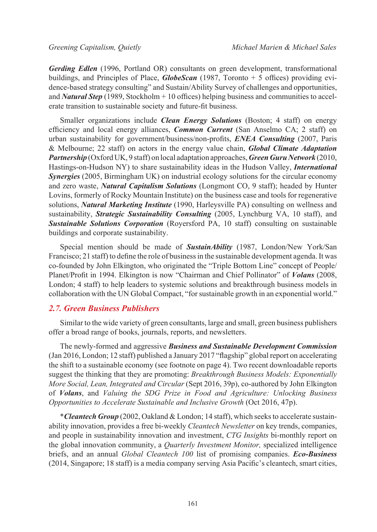*Gerding Edlen* (1996, Portland OR) consultants on green development, transformational buildings, and Principles of Place, *GlobeScan* (1987, Toronto + 5 offices) providing evidence-based strategy consulting" and Sustain/Ability Survey of challenges and opportunities, and *Natural Step* (1989, Stockholm + 10 offices) helping business and communities to accelerate transition to sustainable society and future-fit business.

Smaller organizations include *Clean Energy Solutions* (Boston; 4 staff) on energy efficiency and local energy alliances, *Common Current* (San Anselmo CA; 2 staff) on urban sustainability for government/business/non-profits, *ENEA Consulting* (2007, Paris & Melbourne; 22 staff) on actors in the energy value chain, *Global Climate Adaptation Partnership* (Oxford UK, 9 staff) on local adaptation approaches, *Green Guru Network* (2010, Hastings-on-Hudson NY) to share sustainability ideas in the Hudson Valley, *International Synergies* (2005, Birmingham UK) on industrial ecology solutions for the circular economy and zero waste, *Natural Capitalism Solutions* (Longmont CO, 9 staff); headed by Hunter Lovins, formerly of Rocky Mountain Institute) on the business case and tools for regenerative solutions, *Natural Marketing Institute* (1990, Harleysville PA) consulting on wellness and sustainability, *Strategic Sustainability Consulting* (2005, Lynchburg VA, 10 staff), and *Sustainable Solutions Corporation* (Royersford PA, 10 staff) consulting on sustainable buildings and corporate sustainability.

Special mention should be made of *SustainAbility* (1987, London/New York/San Francisco; 21 staff) to define the role of business in the sustainable development agenda. It was co-founded by John Elkington, who originated the "Triple Bottom Line" concept of People/ Planet/Profit in 1994. Elkington is now "Chairman and Chief Pollinator" of *Volans* (2008, London; 4 staff) to help leaders to systemic solutions and breakthrough business models in collaboration with the UN Global Compact, "for sustainable growth in an exponential world."

### *2.7. Green Business Publishers*

Similar to the wide variety of green consultants, large and small, green business publishers offer a broad range of books, journals, reports, and newsletters.

The newly-formed and aggressive *Business and Sustainable Development Commission* (Jan 2016, London; 12 staff) published a January 2017 "flagship" global report on accelerating the shift to a sustainable economy (see footnote on page 4). Two recent downloadable reports suggest the thinking that they are promoting: *Breakthrough Business Models: Exponentially More Social, Lean, Integrated and Circular* (Sept 2016, 39p), co-authored by John Elkington of *Volans*, and *Valuing the SDG Prize in Food and Agriculture: Unlocking Business Opportunities to Accelerate Sustainable and Inclusive Growth* (Oct 2016, 47p).

\**Cleantech Group* (2002, Oakland & London; 14 staff), which seeks to accelerate sustainability innovation, provides a free bi-weekly *Cleantech Newsletter* on key trends, companies, and people in sustainability innovation and investment, *CTG Insights* bi-monthly report on the global innovation community, a *Quarterly Investment Monitor,* specialized intelligence briefs, and an annual *Global Cleantech 100* list of promising companies. *Eco-Business*  (2014, Singapore; 18 staff) is a media company serving Asia Pacific's cleantech, smart cities,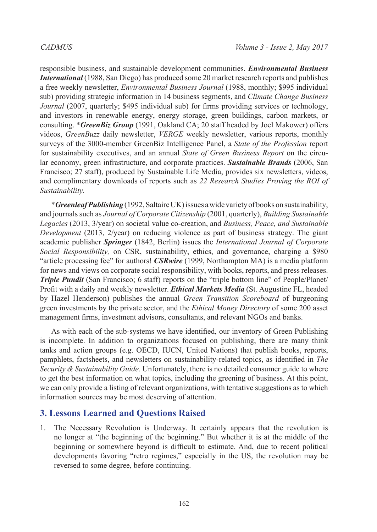responsible business, and sustainable development communities. *Environmental Business International* (1988, San Diego) has produced some 20 market research reports and publishes a free weekly newsletter, *Environmental Business Journal* (1988, monthly; \$995 individual sub) providing strategic information in 14 business segments, and *Climate Change Business Journal* (2007, quarterly; \$495 individual sub) for firms providing services or technology. and investors in renewable energy, energy storage, green buildings, carbon markets, or consulting. \**GreenBiz Group* (1991, Oakland CA; 20 staff headed by Joel Makower) offers videos, *GreenBuzz* daily newsletter, *VERGE* weekly newsletter, various reports, monthly surveys of the 3000-member GreenBiz Intelligence Panel, a *State of the Profession* report for sustainability executives, and an annual *State of Green Business Report* on the circular economy, green infrastructure, and corporate practices. *Sustainable Brands* (2006, San Francisco; 27 staff), produced by Sustainable Life Media, provides six newsletters, videos, and complimentary downloads of reports such as *22 Research Studies Proving the ROI of Sustainability.*

\**Greenleaf Publishing* (1992, Saltaire UK) issues a wide variety of books on sustainability, and journals such as *Journal of Corporate Citizenship* (2001, quarterly), *Building Sustainable Legacies* (2013, 3/year) on societal value co-creation, and *Business, Peace, and Sustainable Development* (2013, 2/year) on reducing violence as part of business strategy. The giant academic publisher *Springer* (1842, Berlin) issues the *International Journal of Corporate Social Responsibility,* on CSR, sustainability, ethics, and governance, charging a \$980 "article processing fee" for authors! *CSRwire* (1999, Northampton MA) is a media platform for news and views on corporate social responsibility, with books, reports, and press releases. *Triple Pundit* (San Francisco; 6 staff) reports on the "triple bottom line" of People/Planet/ Profit with a daily and weekly newsletter. *Ethical Markets Media* (St. Augustine FL, headed by Hazel Henderson) publishes the annual *Green Transition Scoreboard* of burgeoning green investments by the private sector, and the *Ethical Money Directory* of some 200 asset management firms, investment advisors, consultants, and relevant NGOs and banks.

As with each of the sub-systems we have identified, our inventory of Green Publishing is incomplete. In addition to organizations focused on publishing, there are many think tanks and action groups (e.g. OECD, IUCN, United Nations) that publish books, reports, pamphlets, factsheets, and newsletters on sustainability-related topics, as identified in *The Security & Sustainability Guide.* Unfortunately, there is no detailed consumer guide to where to get the best information on what topics, including the greening of business. At this point, we can only provide a listing of relevant organizations, with tentative suggestions as to which information sources may be most deserving of attention.

# **3. Lessons Learned and Questions Raised**

1. The Necessary Revolution is Underway. It certainly appears that the revolution is no longer at "the beginning of the beginning." But whether it is at the middle of the beginning or somewhere beyond is difficult to estimate. And, due to recent political developments favoring "retro regimes," especially in the US, the revolution may be reversed to some degree, before continuing.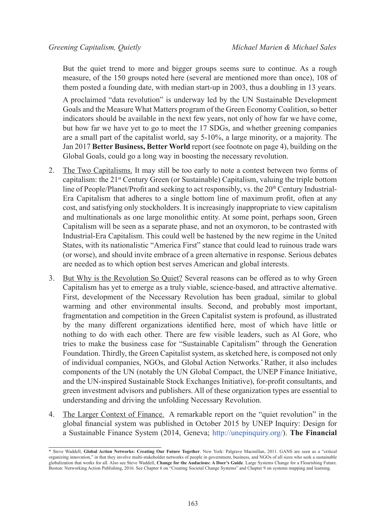But the quiet trend to more and bigger groups seems sure to continue. As a rough measure, of the 150 groups noted here (several are mentioned more than once), 108 of them posted a founding date, with median start-up in 2003, thus a doubling in 13 years.

A proclaimed "data revolution" is underway led by the UN Sustainable Development Goals and the Measure What Matters program of the Green Economy Coalition, so better indicators should be available in the next few years, not only of how far we have come, but how far we have yet to go to meet the 17 SDGs, and whether greening companies are a small part of the capitalist world, say 5-10%, a large minority, or a majority. The Jan 2017 **Better Business, Better World** report (see footnote on page 4), building on the Global Goals, could go a long way in boosting the necessary revolution.

- 2. The Two Capitalisms. It may still be too early to note a contest between two forms of capitalism: the  $21^{st}$  Century Green (or Sustainable) Capitalism, valuing the triple bottom line of People/Planet/Profit and seeking to act responsibly, vs. the  $20<sup>th</sup>$  Century Industrial-Era Capitalism that adheres to a single bottom line of maximum profit, often at any cost, and satisfying only stockholders. It is increasingly inappropriate to view capitalism and multinationals as one large monolithic entity. At some point, perhaps soon, Green Capitalism will be seen as a separate phase, and not an oxymoron, to be contrasted with Industrial-Era Capitalism. This could well be hastened by the new regime in the United States, with its nationalistic "America First" stance that could lead to ruinous trade wars (or worse), and should invite embrace of a green alternative in response. Serious debates are needed as to which option best serves American and global interests.
- 3. But Why is the Revolution So Quiet? Several reasons can be offered as to why Green Capitalism has yet to emerge as a truly viable, science-based, and attractive alternative. First, development of the Necessary Revolution has been gradual, similar to global warming and other environmental insults. Second, and probably most important, fragmentation and competition in the Green Capitalist system is profound, as illustrated by the many different organizations identified here, most of which have little or nothing to do with each other. There are few visible leaders, such as Al Gore, who tries to make the business case for "Sustainable Capitalism" through the Generation Foundation. Thirdly, the Green Capitalist system, as sketched here, is composed not only of individual companies, NGOs, and Global Action Networks.\* Rather, it also includes components of the UN (notably the UN Global Compact, the UNEP Finance Initiative, and the UN-inspired Sustainable Stock Exchanges Initiative), for-profit consultants, and green investment advisors and publishers. All of these organization types are essential to understanding and driving the unfolding Necessary Revolution.
- 4. The Larger Context of Finance. A remarkable report on the "quiet revolution" in the global financial system was published in October 2015 by UNEP Inquiry: Design for a Sustainable Finance System (2014, Geneva; <http://unepinquiry.org/>). **The Financial**

<sup>\*</sup> Steve Waddell, **Global Action Networks: Creating Our Future Together**. New York: Palgrave Macmillan, 2011. GANS are seen as a "critical organizing innovation," in that they involve multi-stakeholder networks of people in government, business, and NGOs of all sizes who seek a sustainable globalization that works for all. Also see Steve Waddell, **Change for the Audacious: A Doer's Guide**. Large Systems Change for a Flourishing Future. Boston: Networking Action Publishing, 2016. See Chapter 6 on "Creating Societal Change Systems" and Chapter 9 on systems mapping and learning.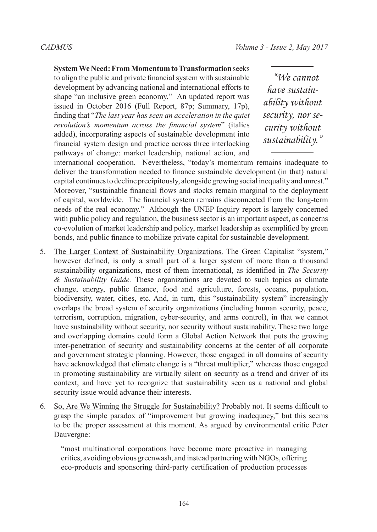### **System We Need: From Momentum to Transformation** seeks

to align the public and private financial system with sustainable development by advancing national and international efforts to shape "an inclusive green economy." An updated report was issued in October 2016 (Full Report, 87p; Summary, 17p), finding that "*The last year has seen an acceleration in the quiet revolution's momentum across the financial system*" (italics added), incorporating aspects of sustainable development into financial system design and practice across three interlocking pathways of change: market leadership, national action, and

*"We cannot have sustainability without security, nor security without sustainability."*

international cooperation. Nevertheless, "today's momentum remains inadequate to deliver the transformation needed to finance sustainable development (in that) natural capital continues to decline precipitously, alongside growing social inequality and unrest." Moreover, "sustainable financial flows and stocks remain marginal to the deployment of capital, worldwide. The financial system remains disconnected from the long-term needs of the real economy." Although the UNEP Inquiry report is largely concerned with public policy and regulation, the business sector is an important aspect, as concerns co-evolution of market leadership and policy, market leadership as exemplified by green bonds, and public finance to mobilize private capital for sustainable development.

- 5. The Larger Context of Sustainability Organizations. The Green Capitalist "system," however defined, is only a small part of a larger system of more than a thousand sustainability organizations, most of them international, as identified in *The Security & Sustainability Guide.* These organizations are devoted to such topics as climate change, energy, public finance, food and agriculture, forests, oceans, population, biodiversity, water, cities, etc. And, in turn, this "sustainability system" increasingly overlaps the broad system of security organizations (including human security, peace, terrorism, corruption, migration, cyber-security, and arms control), in that we cannot have sustainability without security, nor security without sustainability. These two large and overlapping domains could form a Global Action Network that puts the growing inter-penetration of security and sustainability concerns at the center of all corporate and government strategic planning. However, those engaged in all domains of security have acknowledged that climate change is a "threat multiplier," whereas those engaged in promoting sustainability are virtually silent on security as a trend and driver of its context, and have yet to recognize that sustainability seen as a national and global security issue would advance their interests.
- 6. So, Are We Winning the Struggle for Sustainability? Probably not. It seems difficult to grasp the simple paradox of "improvement but growing inadequacy," but this seems to be the proper assessment at this moment. As argued by environmental critic Peter Dauvergne:

"most multinational corporations have become more proactive in managing critics, avoiding obvious greenwash, and instead partnering with NGOs, offering eco-products and sponsoring third-party certification of production processes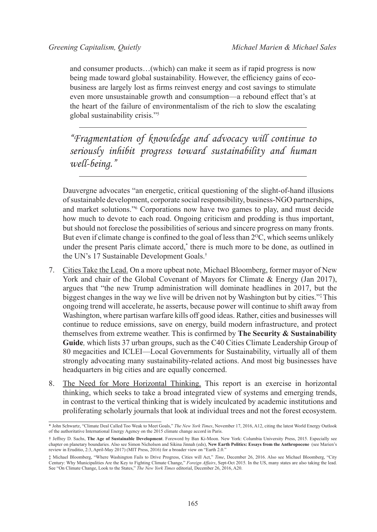and consumer products…(which) can make it seem as if rapid progress is now being made toward global sustainability. However, the efficiency gains of ecobusiness are largely lost as firms reinvest energy and cost savings to stimulate even more unsustainable growth and consumption—a rebound effect that's at the heart of the failure of environmentalism of the rich to slow the escalating global sustainability crisis."[5](#page-16-4) 

*"Fragmentation of knowledge and advocacy will continue to seriously inhibit progress toward sustainability and human well-being."*

Dauvergne advocates "an energetic, critical questioning of the slight-of-hand illusions of sustainable development, corporate social responsibility, business-NGO partnerships, and market solutions."[6](#page-16-5) Corporations now have two games to play, and must decide how much to devote to each road. Ongoing criticism and prodding is thus important, but should not foreclose the possibilities of serious and sincere progress on many fronts. But even if climate change is confined to the goal of less than  $2^{\circ}C$ , which seems unlikely under the present Paris climate accord,\* there is much more to be done, as outlined in the UN's 17 Sustainable Development Goals.†

- 7. Cities Take the Lead. On a more upbeat note, Michael Bloomberg, former mayor of New York and chair of the Global Covenant of Mayors for Climate & Energy (Jan 2017), argues that "the new Trump administration will dominate headlines in 2017, but the biggest changes in the way we live will be driven not by Washington but by cities."‡ This ongoing trend will accelerate, he asserts, because power will continue to shift away from Washington, where partisan warfare kills off good ideas. Rather, cities and businesses will continue to reduce emissions, save on energy, build modern infrastructure, and protect themselves from extreme weather. This is confirmed by **The Security & Sustainability Guide***,* which lists 37 urban groups, such as the C40 Cities Climate Leadership Group of 80 megacities and ICLEI—Local Governments for Sustainability, virtually all of them strongly advocating many sustainability-related actions. And most big businesses have headquarters in big cities and are equally concerned.
- 8. The Need for More Horizontal Thinking. This report is an exercise in horizontal thinking, which seeks to take a broad integrated view of systems and emerging trends, in contrast to the vertical thinking that is widely inculcated by academic institutions and proliferating scholarly journals that look at individual trees and not the forest ecosystem.

<sup>\*</sup> John Schwartz, "Climate Deal Called Too Weak to Meet Goals," *The New York Times*, November 17, 2016, A12, citing the latest World Energy Outlook of the authoritative International Energy Agency on the 2015 climate change accord in Paris.

<sup>†</sup> Jeffrey D. Sachs, **The Age of Sustainable Development**. Foreword by Ban Ki-Moon. New York: Columbia University Press, 2015. Especially see chapter on planetary boundaries. Also see Simon Nicholson and Sikina Jinnah (eds), **New Earth Politics: Essays from the Anthropocene** (see Marien's review in Eruditio, 2:3, April-May 2017) (MIT Press, 2016) for a broader view on "Earth 2.0."

<sup>‡</sup> Michael Bloomberg, "Where Washington Fails to Drive Progress, Cities will Act," *Time*, December 26, 2016. Also see Michael Bloomberg, "City Century: Why Municipalities Are the Key to Fighting Climate Change," *Foreign Affairs*, Sept-Oct 2015. In the US, many states are also taking the lead. See "On Climate Change, Look to the States," *The New York Times* editorial, December 26, 2016, A20.